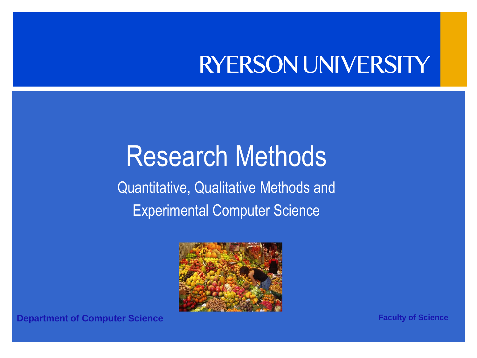#### **RYERSON UNIVERSITY**

#### Research Methods

Quantitative, Qualitative Methods and Experimental Computer Science



**Department of Computer Science <b>Faculty of Science Faculty of Science**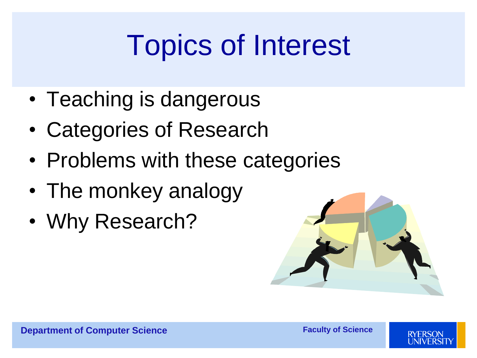## Topics of Interest

- Teaching is dangerous
- Categories of Research
- Problems with these categories
- The monkey analogy
- Why Research?



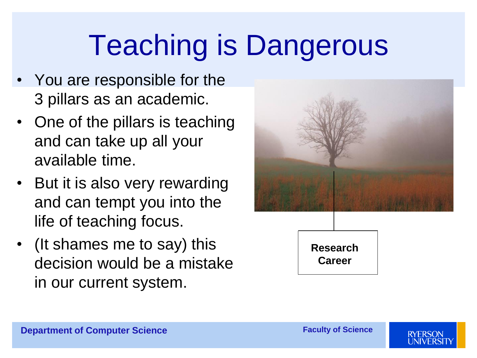#### Teaching is Dangerous

- You are responsible for the 3 pillars as an academic.
- One of the pillars is teaching and can take up all your available time.
- But it is also very rewarding and can tempt you into the life of teaching focus.
- (It shames me to say) this decision would be a mistake in our current system.



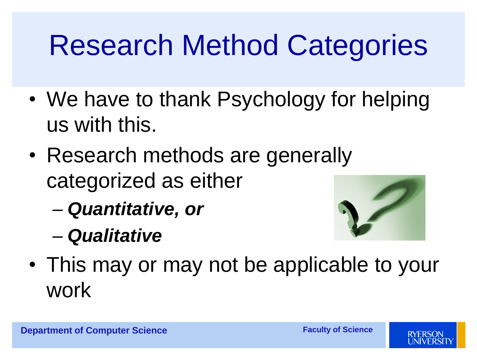#### Research Method Categories

- We have to thank Psychology for helping us with this.
- Research methods are generally categorized as either
	- *Quantitative, or*
	- *Qualitative*



• This may or may not be applicable to your work

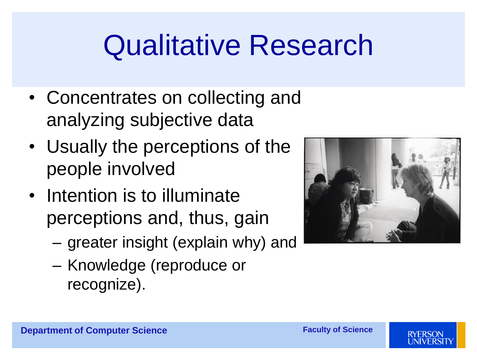#### Qualitative Research

- Concentrates on collecting and analyzing subjective data
- Usually the perceptions of the people involved
- Intention is to illuminate perceptions and, thus, gain
	- greater insight (explain why) and
	- Knowledge (reproduce or recognize).





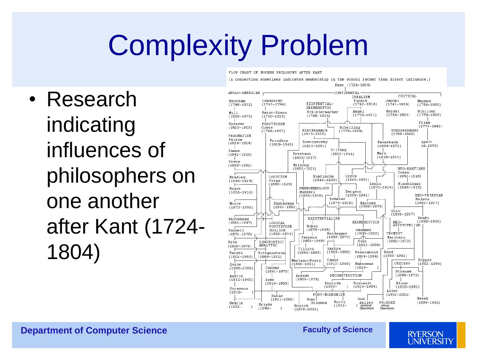#### Complexity Problem

FLOW CHART OF MODERN PHILOSPHY AFTER KANT

• Research indicating influences of philosophers on one another after Kant (1724- 1804)



**Department of Computer Science <b>Faculty of Science Faculty of Science** 

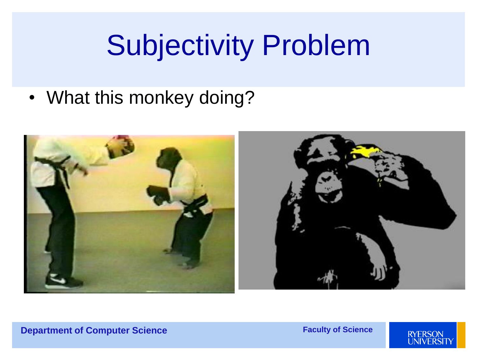#### Subjectivity Problem

• What this monkey doing?



#### **Department of Computer Science**

**Faculty of Science** 

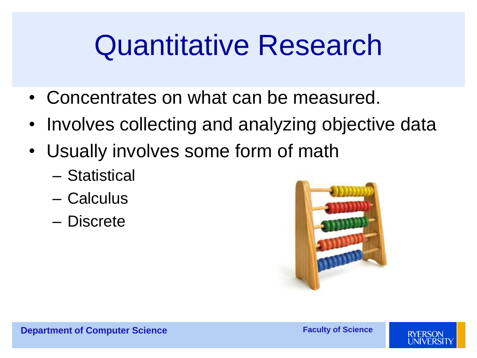#### Quantitative Research

- Concentrates on what can be measured.
- Involves collecting and analyzing objective data
- Usually involves some form of math
	- Statistical
	- Calculus
	- Discrete



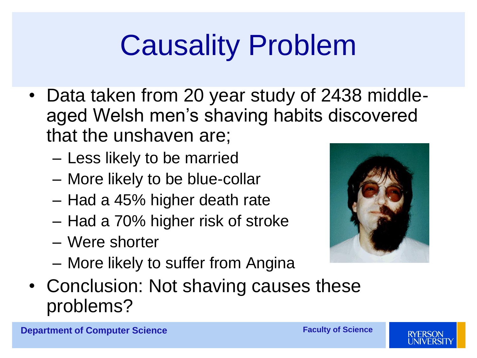## Causality Problem

- Data taken from 20 year study of 2438 middleaged Welsh men's shaving habits discovered that the unshaven are;
	- Less likely to be married
	- More likely to be blue-collar
	- Had a 45% higher death rate
	- Had a 70% higher risk of stroke
	- Were shorter
	- More likely to suffer from Angina
- Conclusion: Not shaving causes these problems?



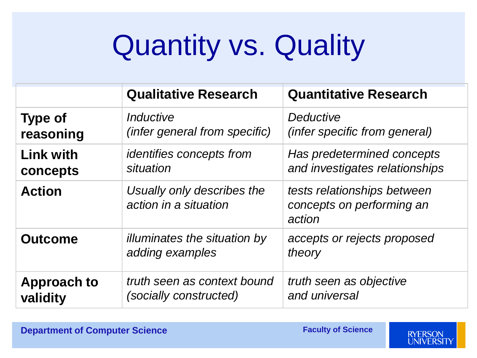## Quantity vs. Quality

|                    | <b>Qualitative Research</b>                            | <b>Quantitative Research</b>                                       |
|--------------------|--------------------------------------------------------|--------------------------------------------------------------------|
| <b>Type of</b>     | Inductive                                              | <b>Deductive</b>                                                   |
| reasoning          | (infer general from specific)                          | <i>(infer specific from general)</i>                               |
| <b>Link with</b>   | <i>identifies concepts from</i>                        | Has predetermined concepts                                         |
| concepts           | situation                                              | and investigates relationships                                     |
| <b>Action</b>      | Usually only describes the<br>action in a situation    | tests relationships between<br>concepts on performing an<br>action |
| <b>Outcome</b>     | <i>illuminates the situation by</i><br>adding examples | accepts or rejects proposed<br>theory                              |
| <b>Approach to</b> | truth seen as context bound                            | truth seen as objective                                            |
| validity           | (socially constructed)                                 | and universal                                                      |

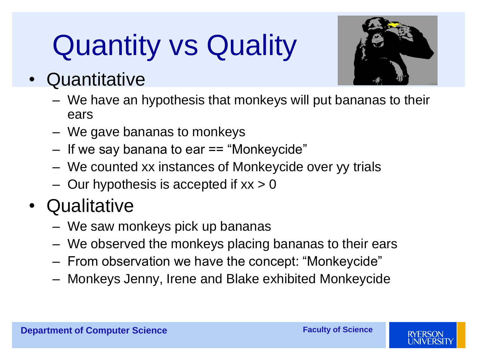# Quantity vs Quality



- Quantitative
	- We have an hypothesis that monkeys will put bananas to their ears
	- We gave bananas to monkeys
	- If we say banana to ear == "Monkeycide"
	- We counted xx instances of Monkeycide over yy trials
	- $-$  Our hypothesis is accepted if  $xx > 0$

#### • Qualitative

- We saw monkeys pick up bananas
- We observed the monkeys placing bananas to their ears
- From observation we have the concept: "Monkeycide"
- Monkeys Jenny, Irene and Blake exhibited Monkeycide

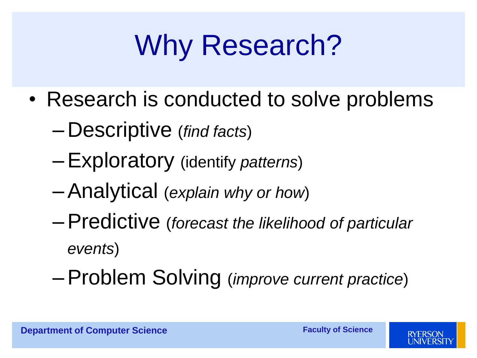# Why Research?

- Research is conducted to solve problems
	- Descriptive (*find facts*)
	- –Exploratory (identify *patterns*)
	- –Analytical (*explain why or how*)
	- –Predictive (*forecast the likelihood of particular events*)
	- –Problem Solving (*improve current practice*)

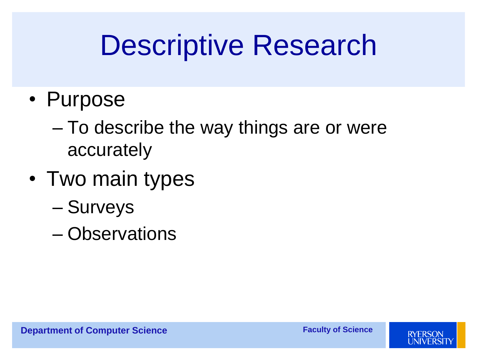#### Descriptive Research

- Purpose
	- To describe the way things are or were accurately
- Two main types
	- Surveys
	- Observations

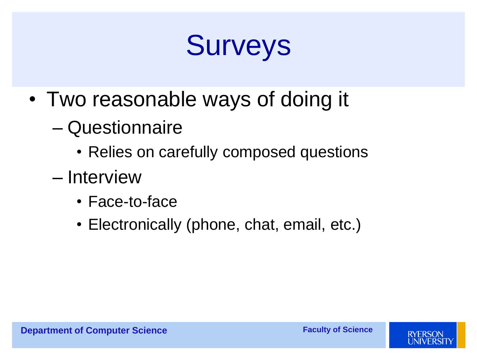#### Surveys

- Two reasonable ways of doing it
	- Questionnaire
		- Relies on carefully composed questions
	- Interview
		- Face-to-face
		- Electronically (phone, chat, email, etc.)

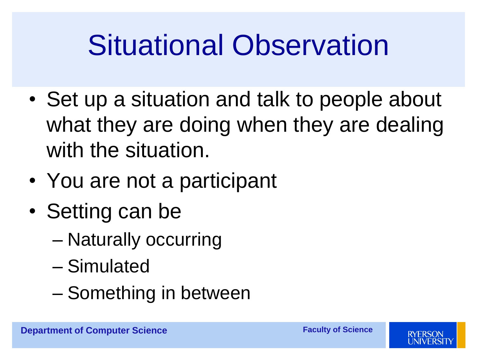#### Situational Observation

- Set up a situation and talk to people about what they are doing when they are dealing with the situation.
- You are not a participant
- Setting can be
	- Naturally occurring
	- Simulated
	- Something in between

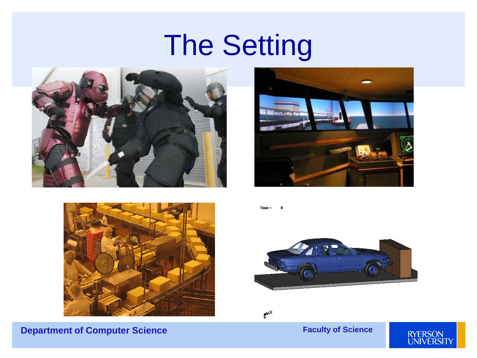#### The Setting









Time





#### **Faculty of Science**

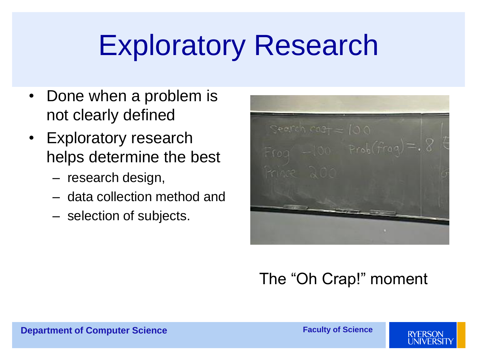#### Exploratory Research

- Done when a problem is not clearly defined
- Exploratory research helps determine the best
	- research design,
	- data collection method and
	- selection of subjects.

Seepen  $cos_7 = 100$  $F$ rog  $-100$  Prob(frag

#### The "Oh Crap!" moment

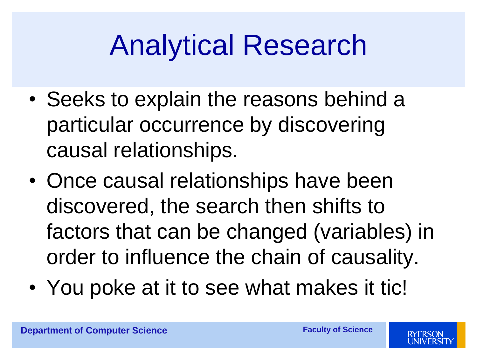#### Analytical Research

- Seeks to explain the reasons behind a particular occurrence by discovering causal relationships.
- Once causal relationships have been discovered, the search then shifts to factors that can be changed (variables) in order to influence the chain of causality.
- You poke at it to see what makes it tic!

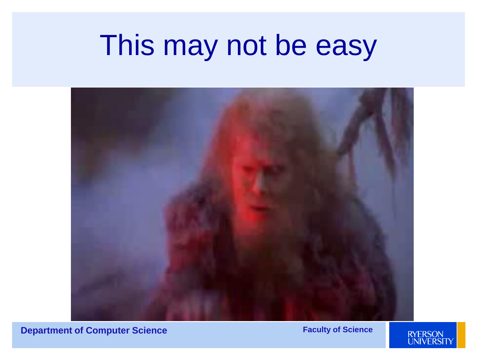#### This may not be easy



**Department of Computer Science <b>Faculty of Science Faculty of Science** 

LEADERS OF TOMORROW

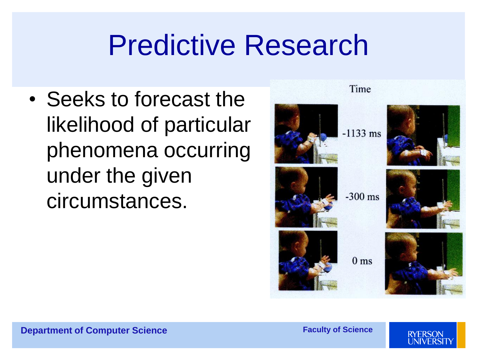#### Predictive Research

• Seeks to forecast the likelihood of particular phenomena occurring under the given circumstances.



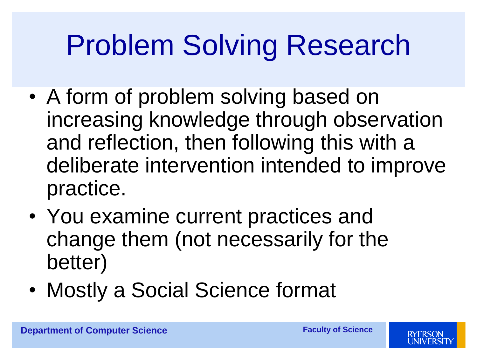#### Problem Solving Research

- A form of problem solving based on increasing knowledge through observation and reflection, then following this with a deliberate intervention intended to improve practice.
- You examine current practices and change them (not necessarily for the better)
- Mostly a Social Science format

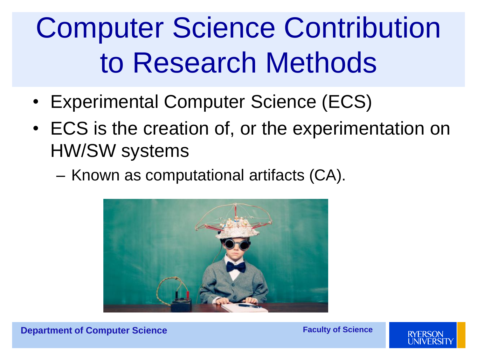# Computer Science Contribution to Research Methods

- Experimental Computer Science (ECS)
- ECS is the creation of, or the experimentation on HW/SW systems
	- Known as computational artifacts (CA).



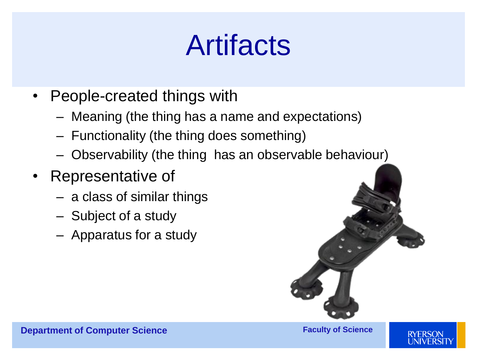#### Artifacts

- People-created things with
	- Meaning (the thing has a name and expectations)
	- Functionality (the thing does something)
	- Observability (the thing has an observable behaviour)
- Representative of
	- a class of similar things
	- Subject of a study
	- Apparatus for a study



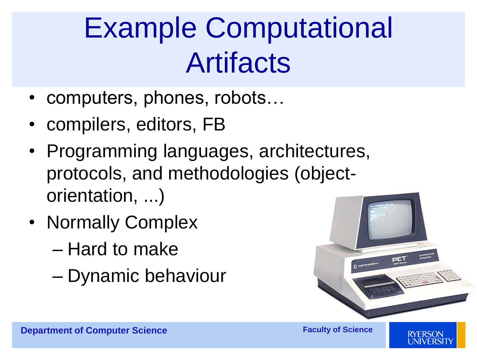### Example Computational Artifacts

- computers, phones, robots…
- compilers, editors, FB
- Programming languages, architectures, protocols, and methodologies (objectorientation, ...)
- Normally Complex
	- Hard to make
	- Dynamic behaviour

![](_page_23_Picture_7.jpeg)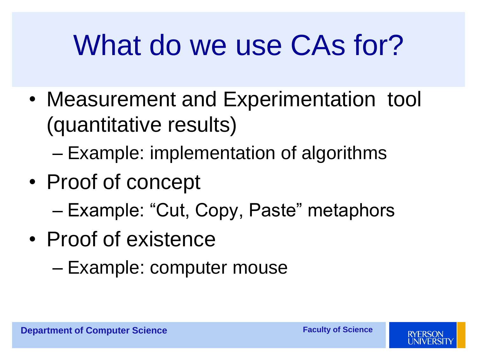#### What do we use CAs for?

- Measurement and Experimentation tool (quantitative results)
	- Example: implementation of algorithms
- Proof of concept
	- Example: "Cut, Copy, Paste" metaphors
- Proof of existence
	- Example: computer mouse

![](_page_24_Picture_9.jpeg)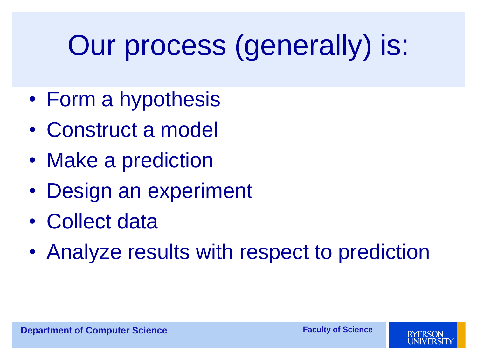# Our process (generally) is:

- Form a hypothesis
- Construct a model
- Make a prediction
- Design an experiment
- Collect data
- Analyze results with respect to prediction

![](_page_25_Picture_9.jpeg)